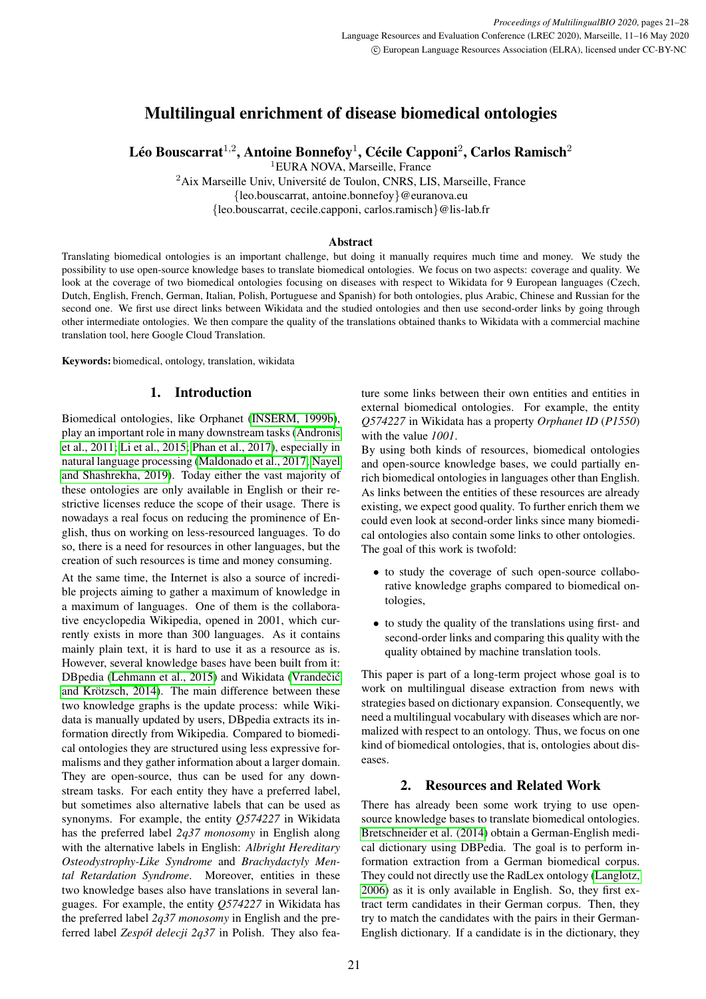# Multilingual enrichment of disease biomedical ontologies

Léo Bouscarrat $^{1,2}$ , Antoine Bonnefoy $^{1}$ , Cécile Capponi $^{2}$ , Carlos Ramisch $^{2}$ 

<sup>1</sup>EURA NOVA, Marseille, France

<sup>2</sup>Aix Marseille Univ, Université de Toulon, CNRS, LIS, Marseille, France

{leo.bouscarrat, antoine.bonnefoy}@euranova.eu

{leo.bouscarrat, cecile.capponi, carlos.ramisch}@lis-lab.fr

# Abstract

Translating biomedical ontologies is an important challenge, but doing it manually requires much time and money. We study the possibility to use open-source knowledge bases to translate biomedical ontologies. We focus on two aspects: coverage and quality. We look at the coverage of two biomedical ontologies focusing on diseases with respect to Wikidata for 9 European languages (Czech, Dutch, English, French, German, Italian, Polish, Portuguese and Spanish) for both ontologies, plus Arabic, Chinese and Russian for the second one. We first use direct links between Wikidata and the studied ontologies and then use second-order links by going through other intermediate ontologies. We then compare the quality of the translations obtained thanks to Wikidata with a commercial machine translation tool, here Google Cloud Translation.

Keywords: biomedical, ontology, translation, wikidata

# 1. Introduction

Biomedical ontologies, like Orphanet [\(INSERM, 1999b\)](#page-7-0), play an important role in many downstream tasks [\(Andronis](#page-7-1) [et al., 2011;](#page-7-1) [Li et al., 2015;](#page-7-2) [Phan et al., 2017\)](#page-7-3), especially in natural language processing [\(Maldonado et al., 2017;](#page-7-4) [Nayel](#page-7-5) [and Shashrekha, 2019\)](#page-7-5). Today either the vast majority of these ontologies are only available in English or their restrictive licenses reduce the scope of their usage. There is nowadays a real focus on reducing the prominence of English, thus on working on less-resourced languages. To do so, there is a need for resources in other languages, but the creation of such resources is time and money consuming.

At the same time, the Internet is also a source of incredible projects aiming to gather a maximum of knowledge in a maximum of languages. One of them is the collaborative encyclopedia Wikipedia, opened in 2001, which currently exists in more than 300 languages. As it contains mainly plain text, it is hard to use it as a resource as is. However, several knowledge bases have been built from it: DBpedia [\(Lehmann et al., 2015\)](#page-7-6) and Wikidata (Vrandečić and Krötzsch, 2014). The main difference between these two knowledge graphs is the update process: while Wikidata is manually updated by users, DBpedia extracts its information directly from Wikipedia. Compared to biomedical ontologies they are structured using less expressive formalisms and they gather information about a larger domain. They are open-source, thus can be used for any downstream tasks. For each entity they have a preferred label, but sometimes also alternative labels that can be used as synonyms. For example, the entity *Q574227* in Wikidata has the preferred label *2q37 monosomy* in English along with the alternative labels in English: *Albright Hereditary Osteodystrophy-Like Syndrome* and *Brachydactyly Mental Retardation Syndrome*. Moreover, entities in these two knowledge bases also have translations in several languages. For example, the entity *Q574227* in Wikidata has the preferred label *2q37 monosomy* in English and the preferred label *Zespół delecji 2q37* in Polish. They also fea-

ture some links between their own entities and entities in external biomedical ontologies. For example, the entity *Q574227* in Wikidata has a property *Orphanet ID* (*P1550*) with the value *1001*.

By using both kinds of resources, biomedical ontologies and open-source knowledge bases, we could partially enrich biomedical ontologies in languages other than English. As links between the entities of these resources are already existing, we expect good quality. To further enrich them we could even look at second-order links since many biomedical ontologies also contain some links to other ontologies. The goal of this work is twofold:

- to study the coverage of such open-source collaborative knowledge graphs compared to biomedical ontologies,
- to study the quality of the translations using first- and second-order links and comparing this quality with the quality obtained by machine translation tools.

This paper is part of a long-term project whose goal is to work on multilingual disease extraction from news with strategies based on dictionary expansion. Consequently, we need a multilingual vocabulary with diseases which are normalized with respect to an ontology. Thus, we focus on one kind of biomedical ontologies, that is, ontologies about diseases.

# 2. Resources and Related Work

There has already been some work trying to use opensource knowledge bases to translate biomedical ontologies. [Bretschneider et al. \(2014\)](#page-7-8) obtain a German-English medical dictionary using DBPedia. The goal is to perform information extraction from a German biomedical corpus. They could not directly use the RadLex ontology [\(Langlotz,](#page-7-9) [2006\)](#page-7-9) as it is only available in English. So, they first extract term candidates in their German corpus. Then, they try to match the candidates with the pairs in their German-English dictionary. If a candidate is in the dictionary, they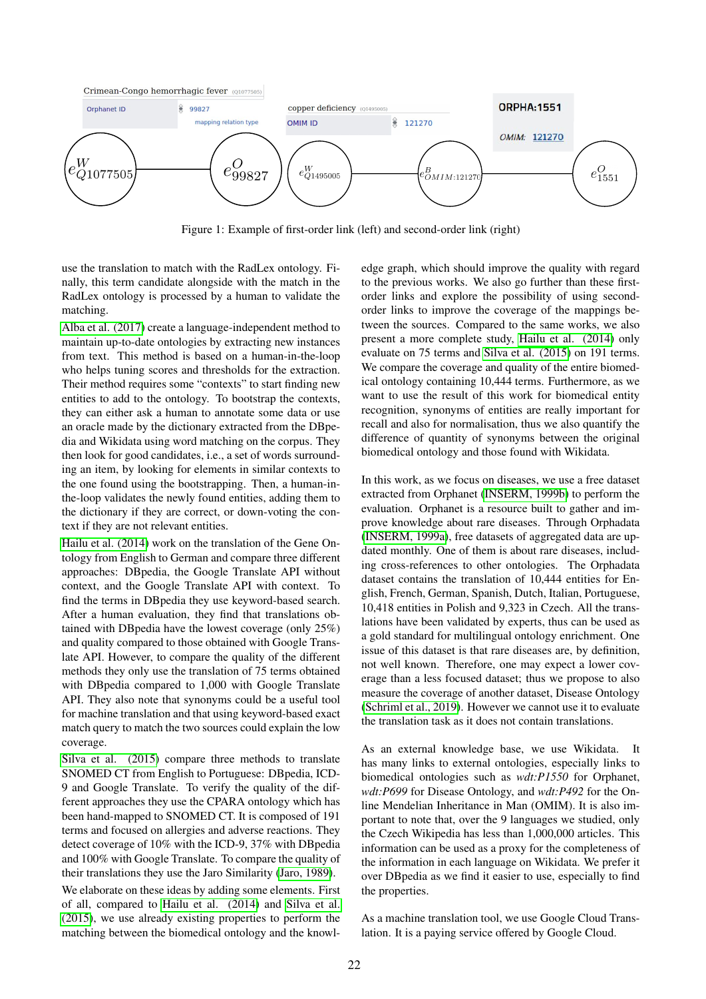

<span id="page-1-0"></span>Figure 1: Example of first-order link (left) and second-order link (right)

use the translation to match with the RadLex ontology. Finally, this term candidate alongside with the match in the RadLex ontology is processed by a human to validate the matching.

[Alba et al. \(2017\)](#page-7-10) create a language-independent method to maintain up-to-date ontologies by extracting new instances from text. This method is based on a human-in-the-loop who helps tuning scores and thresholds for the extraction. Their method requires some "contexts" to start finding new entities to add to the ontology. To bootstrap the contexts, they can either ask a human to annotate some data or use an oracle made by the dictionary extracted from the DBpedia and Wikidata using word matching on the corpus. They then look for good candidates, i.e., a set of words surrounding an item, by looking for elements in similar contexts to the one found using the bootstrapping. Then, a human-inthe-loop validates the newly found entities, adding them to the dictionary if they are correct, or down-voting the context if they are not relevant entities.

[Hailu et al. \(2014\)](#page-7-11) work on the translation of the Gene Ontology from English to German and compare three different approaches: DBpedia, the Google Translate API without context, and the Google Translate API with context. To find the terms in DBpedia they use keyword-based search. After a human evaluation, they find that translations obtained with DBpedia have the lowest coverage (only 25%) and quality compared to those obtained with Google Translate API. However, to compare the quality of the different methods they only use the translation of 75 terms obtained with DBpedia compared to 1,000 with Google Translate API. They also note that synonyms could be a useful tool for machine translation and that using keyword-based exact match query to match the two sources could explain the low coverage.

[Silva et al. \(2015\)](#page-7-12) compare three methods to translate SNOMED CT from English to Portuguese: DBpedia, ICD-9 and Google Translate. To verify the quality of the different approaches they use the CPARA ontology which has been hand-mapped to SNOMED CT. It is composed of 191 terms and focused on allergies and adverse reactions. They detect coverage of 10% with the ICD-9, 37% with DBpedia and 100% with Google Translate. To compare the quality of their translations they use the Jaro Similarity [\(Jaro, 1989\)](#page-7-13).

We elaborate on these ideas by adding some elements. First of all, compared to [Hailu et al. \(2014\)](#page-7-11) and [Silva et al.](#page-7-12) [\(2015\)](#page-7-12), we use already existing properties to perform the matching between the biomedical ontology and the knowledge graph, which should improve the quality with regard to the previous works. We also go further than these firstorder links and explore the possibility of using secondorder links to improve the coverage of the mappings between the sources. Compared to the same works, we also present a more complete study, [Hailu et al. \(2014\)](#page-7-11) only evaluate on 75 terms and [Silva et al. \(2015\)](#page-7-12) on 191 terms. We compare the coverage and quality of the entire biomedical ontology containing 10,444 terms. Furthermore, as we want to use the result of this work for biomedical entity recognition, synonyms of entities are really important for recall and also for normalisation, thus we also quantify the difference of quantity of synonyms between the original biomedical ontology and those found with Wikidata.

In this work, as we focus on diseases, we use a free dataset extracted from Orphanet [\(INSERM, 1999b\)](#page-7-0) to perform the evaluation. Orphanet is a resource built to gather and improve knowledge about rare diseases. Through Orphadata [\(INSERM, 1999a\)](#page-7-14), free datasets of aggregated data are updated monthly. One of them is about rare diseases, including cross-references to other ontologies. The Orphadata dataset contains the translation of 10,444 entities for English, French, German, Spanish, Dutch, Italian, Portuguese, 10,418 entities in Polish and 9,323 in Czech. All the translations have been validated by experts, thus can be used as a gold standard for multilingual ontology enrichment. One issue of this dataset is that rare diseases are, by definition, not well known. Therefore, one may expect a lower coverage than a less focused dataset; thus we propose to also measure the coverage of another dataset, Disease Ontology [\(Schriml et al., 2019\)](#page-7-15). However we cannot use it to evaluate the translation task as it does not contain translations.

As an external knowledge base, we use Wikidata. It has many links to external ontologies, especially links to biomedical ontologies such as *wdt:P1550* for Orphanet, *wdt:P699* for Disease Ontology, and *wdt:P492* for the Online Mendelian Inheritance in Man (OMIM). It is also important to note that, over the 9 languages we studied, only the Czech Wikipedia has less than 1,000,000 articles. This information can be used as a proxy for the completeness of the information in each language on Wikidata. We prefer it over DBpedia as we find it easier to use, especially to find the properties.

As a machine translation tool, we use Google Cloud Translation. It is a paying service offered by Google Cloud.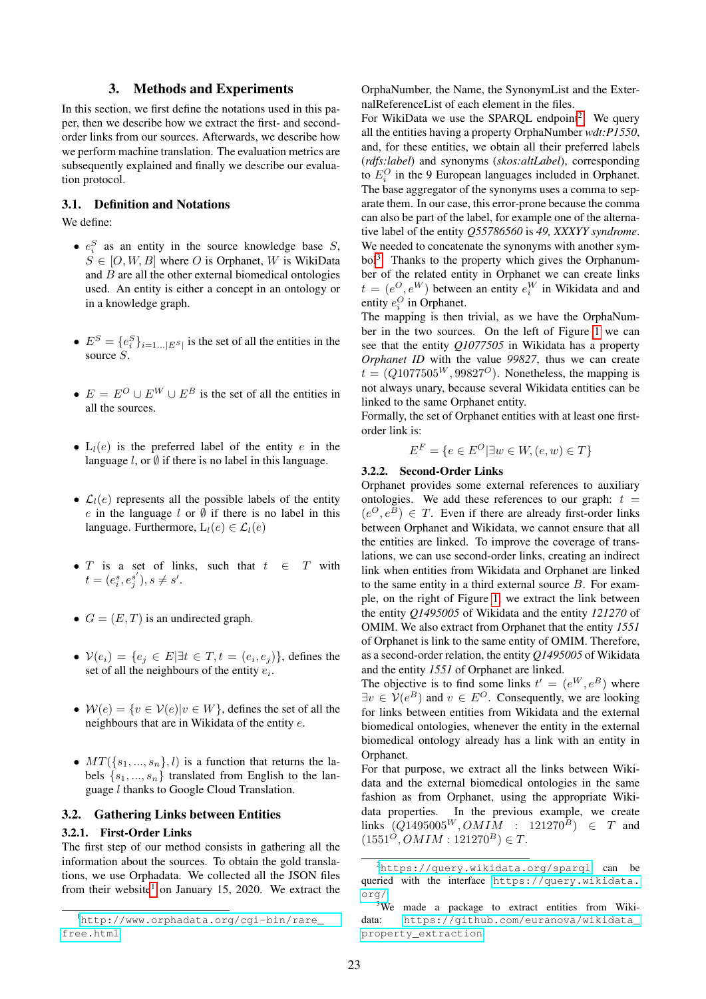# 3. Methods and Experiments

In this section, we first define the notations used in this paper, then we describe how we extract the first- and secondorder links from our sources. Afterwards, we describe how we perform machine translation. The evaluation metrics are subsequently explained and finally we describe our evaluation protocol.

# 3.1. Definition and Notations

We define:

- $e_i^S$  as an entity in the source knowledge base  $S$ ,  $S \in [O, W, B]$  where O is Orphanet, W is WikiData and  $\hat{B}$  are all the other external biomedical ontologies used. An entity is either a concept in an ontology or in a knowledge graph.
- $E^S = \{e_i^S\}_{i=1...|E^S|}$  is the set of all the entities in the source S.
- $E = E^O \cup E^W \cup E^B$  is the set of all the entities in all the sources.
- $L_l(e)$  is the preferred label of the entity e in the language  $l$ , or  $\emptyset$  if there is no label in this language.
- $\mathcal{L}_l(e)$  represents all the possible labels of the entity e in the language  $l$  or  $\emptyset$  if there is no label in this language. Furthermore,  $L_l(e) \in \mathcal{L}_l(e)$
- T is a set of links, such that  $t \in T$  with  $t = (e_i^s, e_j^{s'}), s \neq s'.$
- $G = (E, T)$  is an undirected graph.
- $V(e_i) = \{e_j \in E | \exists t \in T, t = (e_i, e_j)\}\$ , defines the set of all the neighbours of the entity  $e_i$ .
- $W(e) = \{v \in V(e) | v \in W\}$ , defines the set of all the neighbours that are in Wikidata of the entity e.
- $MT({s_1,...,s_n}, l)$  is a function that returns the labels  $\{s_1, ..., s_n\}$  translated from English to the language l thanks to Google Cloud Translation.

## <span id="page-2-3"></span>3.2. Gathering Links between Entities

#### 3.2.1. First-Order Links

The first step of our method consists in gathering all the information about the sources. To obtain the gold translations, we use Orphadata. We collected all the JSON files from their website<sup>[1](#page-2-0)</sup> on January 15, 2020. We extract the

OrphaNumber, the Name, the SynonymList and the ExternalReferenceList of each element in the files.

For WikiData we use the SPARQL endpoint<sup>[2](#page-2-1)</sup>. We query all the entities having a property OrphaNumber *wdt:P1550*, and, for these entities, we obtain all their preferred labels (*rdfs:label*) and synonyms (*skos:altLabel*), corresponding to  $E_i^O$  in the 9 European languages included in Orphanet. The base aggregator of the synonyms uses a comma to separate them. In our case, this error-prone because the comma can also be part of the label, for example one of the alternative label of the entity *Q55786560* is *49, XXXYY syndrome*. We needed to concatenate the synonyms with another sym-bol<sup>[3](#page-2-2)</sup>. Thanks to the property which gives the Orphanumber of the related entity in Orphanet we can create links  $t = (e^O, e^W)$  between an entity  $e_i^W$  in Wikidata and and entity  $e_i^O$  in Orphanet.

The mapping is then trivial, as we have the OrphaNumber in the two sources. On the left of Figure [1](#page-1-0) we can see that the entity *Q1077505* in Wikidata has a property *Orphanet ID* with the value *99827*, thus we can create  $t = (Q1077505^{W}, 99827^{O})$ . Nonetheless, the mapping is not always unary, because several Wikidata entities can be linked to the same Orphanet entity.

Formally, the set of Orphanet entities with at least one firstorder link is:

$$
E^F = \{ e \in E^O | \exists w \in W, (e, w) \in T \}
$$

#### 3.2.2. Second-Order Links

Orphanet provides some external references to auxiliary ontologies. We add these references to our graph:  $t =$  $(e^O, e^B) \in T$ . Even if there are already first-order links between Orphanet and Wikidata, we cannot ensure that all the entities are linked. To improve the coverage of translations, we can use second-order links, creating an indirect link when entities from Wikidata and Orphanet are linked to the same entity in a third external source  $B$ . For example, on the right of Figure [1,](#page-1-0) we extract the link between the entity *Q1495005* of Wikidata and the entity *121270* of OMIM. We also extract from Orphanet that the entity *1551* of Orphanet is link to the same entity of OMIM. Therefore, as a second-order relation, the entity *Q1495005* of Wikidata and the entity *1551* of Orphanet are linked.

The objective is to find some links  $t' = (e^W, e^B)$  where  $\exists v \in V(e^B)$  and  $v \in E^O$ . Consequently, we are looking for links between entities from Wikidata and the external biomedical ontologies, whenever the entity in the external biomedical ontology already has a link with an entity in Orphanet.

For that purpose, we extract all the links between Wikidata and the external biomedical ontologies in the same fashion as from Orphanet, using the appropriate Wikidata properties. In the previous example, we create links  $(Q1495005^W, OMIM$  :  $121270^B$ )  $\in$  T and  $(1551^{\overline{O}}, OMIN : 121270^B) \in T$ .

<span id="page-2-0"></span><sup>1</sup>[http://www.orphadata.org/cgi-bin/rare\\_](http://www.orphadata.org/cgi-bin/rare_free.html) [free.html](http://www.orphadata.org/cgi-bin/rare_free.html)

<span id="page-2-1"></span><sup>2</sup><https://query.wikidata.org/sparql> can be queried with the interface [https://query.wikidata.](https://query.wikidata.org/) [org/](https://query.wikidata.org/)

<span id="page-2-2"></span><sup>&</sup>lt;sup>3</sup>We made a package to extract entities from Wikidata: [https://github.com/euranova/wikidata\\_](https://github.com/euranova/wikidata_property_extraction) [property\\_extraction](https://github.com/euranova/wikidata_property_extraction)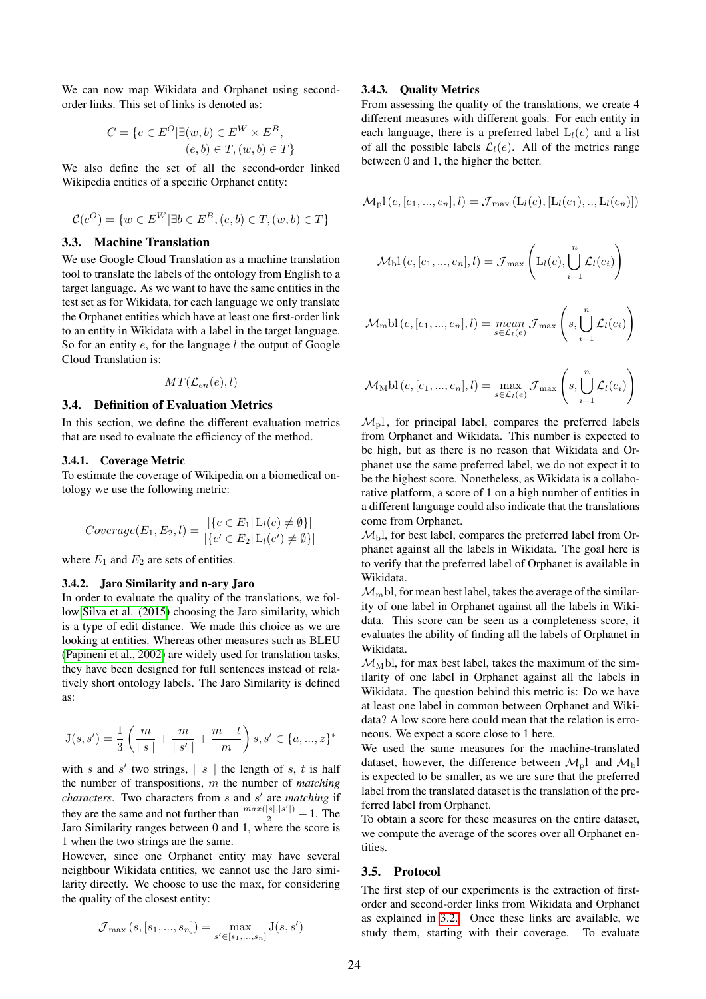We can now map Wikidata and Orphanet using secondorder links. This set of links is denoted as:

$$
C = \{ e \in E^O | \exists (w, b) \in E^W \times E^B, (e, b) \in T, (w, b) \in T \}
$$

We also define the set of all the second-order linked Wikipedia entities of a specific Orphanet entity:

$$
\mathcal{C}(e^{O}) = \{ w \in E^{W} | \exists b \in E^{B}, (e, b) \in T, (w, b) \in T \}
$$

#### 3.3. Machine Translation

We use Google Cloud Translation as a machine translation tool to translate the labels of the ontology from English to a target language. As we want to have the same entities in the test set as for Wikidata, for each language we only translate the Orphanet entities which have at least one first-order link to an entity in Wikidata with a label in the target language. So for an entity  $e$ , for the language  $l$  the output of Google Cloud Translation is:

$$
MT(\mathcal{L}_{en}(e),l)
$$

#### 3.4. Definition of Evaluation Metrics

In this section, we define the different evaluation metrics that are used to evaluate the efficiency of the method.

#### 3.4.1. Coverage Metric

To estimate the coverage of Wikipedia on a biomedical ontology we use the following metric:

$$
Coverage(E_1, E_2, l) = \frac{|\{e \in E_1 | \mathcal{L}_l(e) \neq \emptyset\}|}{|\{e' \in E_2 | \mathcal{L}_l(e') \neq \emptyset\}|}
$$

where  $E_1$  and  $E_2$  are sets of entities.

## 3.4.2. Jaro Similarity and n-ary Jaro

In order to evaluate the quality of the translations, we follow [Silva et al. \(2015\)](#page-7-12) choosing the Jaro similarity, which is a type of edit distance. We made this choice as we are looking at entities. Whereas other measures such as BLEU [\(Papineni et al., 2002\)](#page-7-16) are widely used for translation tasks, they have been designed for full sentences instead of relatively short ontology labels. The Jaro Similarity is defined as:

$$
\mathbf{J}(s,s')=\frac{1}{3}\left(\frac{m}{\mid s\mid}+\frac{m}{\mid s'\mid}+\frac{m-t}{m}\right)s, s'\in\{a,...,z\}^*
$$

with s and s' two strings,  $|s|$  the length of s, t is half the number of transpositions, m the number of *matching* characters. Two characters from s and s' are *matching* if they are the same and not further than  $\frac{max(|s|,|s'|)}{2} - 1$ . The Jaro Similarity ranges between 0 and 1, where the score is 1 when the two strings are the same.

However, since one Orphanet entity may have several neighbour Wikidata entities, we cannot use the Jaro similarity directly. We choose to use the max, for considering the quality of the closest entity:

$$
\mathcal{J}_{\max}\left(s,\left[s_1,...,s_n\right]\right)=\max_{s'\in\left[s_1,...,s_n\right]}\mathcal{J}(s,s')
$$

#### <span id="page-3-0"></span>3.4.3. Quality Metrics

From assessing the quality of the translations, we create 4 different measures with different goals. For each entity in each language, there is a preferred label  $L_l(e)$  and a list of all the possible labels  $\mathcal{L}_l(e)$ . All of the metrics range between 0 and 1, the higher the better.

$$
\mathcal{M}_{\rm p} l\left(e,[e_1,...,e_n],l\right) = \mathcal{J}_{\rm max}\left(L_l(e),\left[L_l(e_1),...,L_l(e_n)\right]\right)
$$

$$
\mathcal{M}_{\mathrm{b}}l(e,[e_1,...,e_n],l) = \mathcal{J}_{\mathrm{max}}\left(L_l(e), \bigcup_{i=1}^n \mathcal{L}_l(e_i)\right)
$$

$$
\mathcal{M}_{\mathrm{m}}\mathrm{bl}\left(e,[e_1,...,e_n],l\right)=\underset{s\in\mathcal{L}_l(e)}{\operatorname{mean}}\,\mathcal{J}_{\mathrm{max}}\left(s,\bigcup_{i=1}^n\mathcal{L}_l(e_i)\right)
$$

$$
\mathcal{M}_{\text{M}}\text{bl}\left(e,[e_1,...,e_n],l\right) = \max_{s \in \mathcal{L}_l(e)} \mathcal{J}_{\text{max}}\left(s,\bigcup_{i=1}^n \mathcal{L}_l(e_i)\right)
$$

 $\mathcal{M}_{\rm p}$ l, for principal label, compares the preferred labels from Orphanet and Wikidata. This number is expected to be high, but as there is no reason that Wikidata and Orphanet use the same preferred label, we do not expect it to be the highest score. Nonetheless, as Wikidata is a collaborative platform, a score of 1 on a high number of entities in a different language could also indicate that the translations come from Orphanet.

 $\mathcal{M}_{\rm bl}$ , for best label, compares the preferred label from Orphanet against all the labels in Wikidata. The goal here is to verify that the preferred label of Orphanet is available in Wikidata.

 $\mathcal{M}_{\rm m}$ bl, for mean best label, takes the average of the similarity of one label in Orphanet against all the labels in Wikidata. This score can be seen as a completeness score, it evaluates the ability of finding all the labels of Orphanet in Wikidata.

 $\mathcal{M}_{\text{M}}$ bl, for max best label, takes the maximum of the similarity of one label in Orphanet against all the labels in Wikidata. The question behind this metric is: Do we have at least one label in common between Orphanet and Wikidata? A low score here could mean that the relation is erroneous. We expect a score close to 1 here.

We used the same measures for the machine-translated dataset, however, the difference between  $\mathcal{M}_{\rm pl}$  and  $\mathcal{M}_{\rm bl}$ is expected to be smaller, as we are sure that the preferred label from the translated dataset is the translation of the preferred label from Orphanet.

To obtain a score for these measures on the entire dataset, we compute the average of the scores over all Orphanet entities.

# 3.5. Protocol

The first step of our experiments is the extraction of firstorder and second-order links from Wikidata and Orphanet as explained in [3.2..](#page-2-3) Once these links are available, we study them, starting with their coverage. To evaluate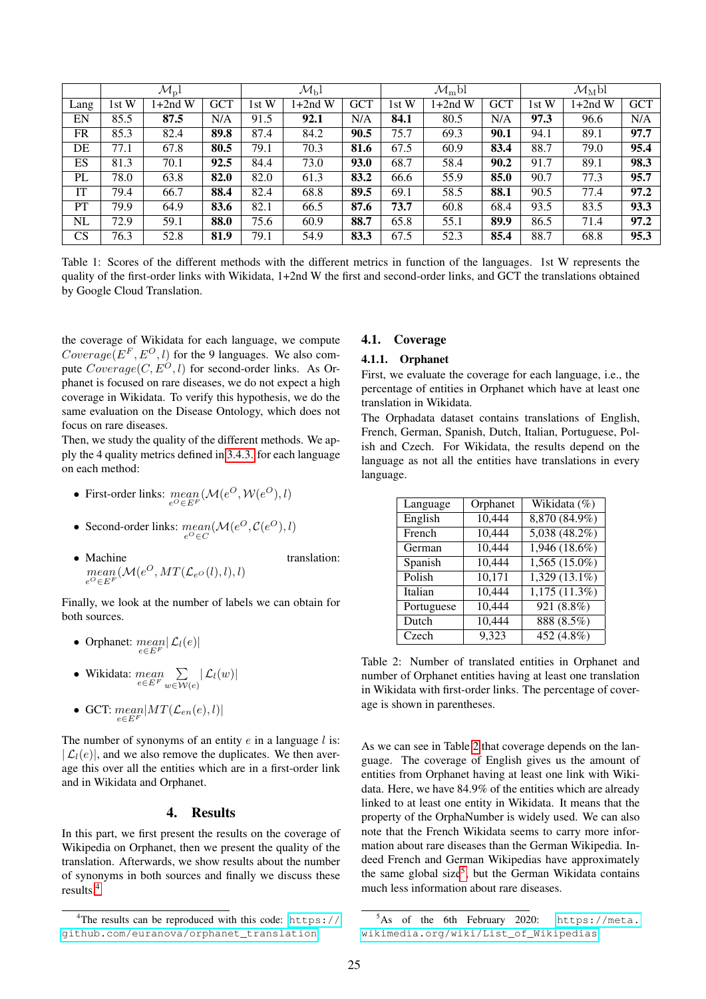|           | $\mathcal{M}_{\rm p}$ l |          | $\mathcal{M}_{\rm b}$ l |       | $\mathcal{M}_{\rm m}$ bl |            |       | $\mathcal{M}_{\text{M}}$ bl |            |       |           |            |
|-----------|-------------------------|----------|-------------------------|-------|--------------------------|------------|-------|-----------------------------|------------|-------|-----------|------------|
| Lang      | 1st W                   | $+2nd$ W | <b>GCT</b>              | 1st W | $+2nd$ W                 | <b>GCT</b> | 1st W | $+2nd$ W                    | <b>GCT</b> | 1st W | $1+2nd$ W | <b>GCT</b> |
| EN        | 85.5                    | 87.5     | N/A                     | 91.5  | 92.1                     | N/A        | 84.1  | 80.5                        | N/A        | 97.3  | 96.6      | N/A        |
| <b>FR</b> | 85.3                    | 82.4     | 89.8                    | 87.4  | 84.2                     | 90.5       | 75.7  | 69.3                        | 90.1       | 94.1  | 89.1      | 97.7       |
| DE        | 77.1                    | 67.8     | 80.5                    | 79.1  | 70.3                     | 81.6       | 67.5  | 60.9                        | 83.4       | 88.7  | 79.0      | 95.4       |
| ES        | 81.3                    | 70.1     | 92.5                    | 84.4  | 73.0                     | 93.0       | 68.7  | 58.4                        | 90.2       | 91.7  | 89.1      | 98.3       |
| PL        | 78.0                    | 63.8     | 82.0                    | 82.0  | 61.3                     | 83.2       | 66.6  | 55.9                        | 85.0       | 90.7  | 77.3      | 95.7       |
| IT        | 79.4                    | 66.7     | 88.4                    | 82.4  | 68.8                     | 89.5       | 69.1  | 58.5                        | 88.1       | 90.5  | 77.4      | 97.2       |
| PT        | 79.9                    | 64.9     | 83.6                    | 82.1  | 66.5                     | 87.6       | 73.7  | 60.8                        | 68.4       | 93.5  | 83.5      | 93.3       |
| NL        | 72.9                    | 59.1     | 88.0                    | 75.6  | 60.9                     | 88.7       | 65.8  | 55.1                        | 89.9       | 86.5  | 71.4      | 97.2       |
| CS        | 76.3                    | 52.8     | 81.9                    | 79.1  | 54.9                     | 83.3       | 67.5  | 52.3                        | 85.4       | 88.7  | 68.8      | 95.3       |

<span id="page-4-3"></span>Table 1: Scores of the different methods with the different metrics in function of the languages. 1st W represents the quality of the first-order links with Wikidata, 1+2nd W the first and second-order links, and GCT the translations obtained by Google Cloud Translation.

the coverage of Wikidata for each language, we compute  $Coverage(E^F, E^O, l)$  for the 9 languages. We also compute  $Coverage(C, E^{O}, l)$  for second-order links. As Orphanet is focused on rare diseases, we do not expect a high coverage in Wikidata. To verify this hypothesis, we do the same evaluation on the Disease Ontology, which does not focus on rare diseases.

Then, we study the quality of the different methods. We apply the 4 quality metrics defined in [3.4.3.](#page-3-0) for each language on each method:

- First-order links:  $mean_{e^O \in E^F}(\mathcal{M}(e^O, \mathcal{W}(e^O), l))$
- Second-order links:  $mean(\mathcal{M}(e^O, \mathcal{C}(e^O), l))$
- Machine translation:  $mean(\mathcal{M}(e^O, MT(\mathcal{L}_{e^O}(l), l), l))$  $e^O \in E$

Finally, we look at the number of labels we can obtain for both sources.

- Orphanet:  $\begin{array}{c} \text{mean} \\ e \in E^F \end{array}$
- Wikidata:  $mean \sum_{e \in E^F} \sum_{w \in \mathcal{W}}$  $\sum\limits_{w\in\mathcal{W}(e)}|\mathcal{L}_l(w)|$
- GCT:  $\displaystyle{\frac{mean|MT(\mathcal{L}_{en}(e),l)|}{e\in E^{F}}}$

The number of synonyms of an entity  $e$  in a language  $l$  is:  $|\mathcal{L}_l(e)|$ , and we also remove the duplicates. We then average this over all the entities which are in a first-order link and in Wikidata and Orphanet.

# 4. Results

In this part, we first present the results on the coverage of Wikipedia on Orphanet, then we present the quality of the translation. Afterwards, we show results about the number of synonyms in both sources and finally we discuss these results.[4](#page-4-0)

#### 4.1. Coverage

#### 4.1.1. Orphanet

First, we evaluate the coverage for each language, i.e., the percentage of entities in Orphanet which have at least one translation in Wikidata.

The Orphadata dataset contains translations of English, French, German, Spanish, Dutch, Italian, Portuguese, Polish and Czech. For Wikidata, the results depend on the language as not all the entities have translations in every language.

| Language   | Orphanet | Wikidata (%)                |  |  |
|------------|----------|-----------------------------|--|--|
| English    | 10,444   | 8,870 (84.9%)               |  |  |
| French     | 10,444   | 5,038 (48.2%)               |  |  |
| German     | 10,444   | 1,946(18.6%)                |  |  |
| Spanish    | 10,444   | $1,565(15.0\%)$             |  |  |
| Polish     | 10,171   | $1,329(13.1\%)$             |  |  |
| Italian    | 10,444   | 1,175(11.3%)                |  |  |
| Portuguese | 10,444   | 921 $(8.8\%)$               |  |  |
| Dutch      | 10,444   | 888 (8.5%)                  |  |  |
| Czech      | 9,323    | $\overline{452} \, (4.8\%)$ |  |  |

<span id="page-4-1"></span>Table 2: Number of translated entities in Orphanet and number of Orphanet entities having at least one translation in Wikidata with first-order links. The percentage of coverage is shown in parentheses.

As we can see in Table [2](#page-4-1) that coverage depends on the language. The coverage of English gives us the amount of entities from Orphanet having at least one link with Wikidata. Here, we have 84.9% of the entities which are already linked to at least one entity in Wikidata. It means that the property of the OrphaNumber is widely used. We can also note that the French Wikidata seems to carry more information about rare diseases than the German Wikipedia. Indeed French and German Wikipedias have approximately the same global size<sup>[5](#page-4-2)</sup>, but the German Wikidata contains much less information about rare diseases.

<span id="page-4-0"></span><sup>&</sup>lt;sup>4</sup>The results can be reproduced with this code: [https://](https://github.com/euranova/orphanet_translation) [github.com/euranova/orphanet\\_translation](https://github.com/euranova/orphanet_translation)

<span id="page-4-2"></span> $5$ As of the 6th February 2020: [https://meta.](https://meta.wikimedia.org/wiki/List_of_Wikipedias) [wikimedia.org/wiki/List\\_of\\_Wikipedias](https://meta.wikimedia.org/wiki/List_of_Wikipedias)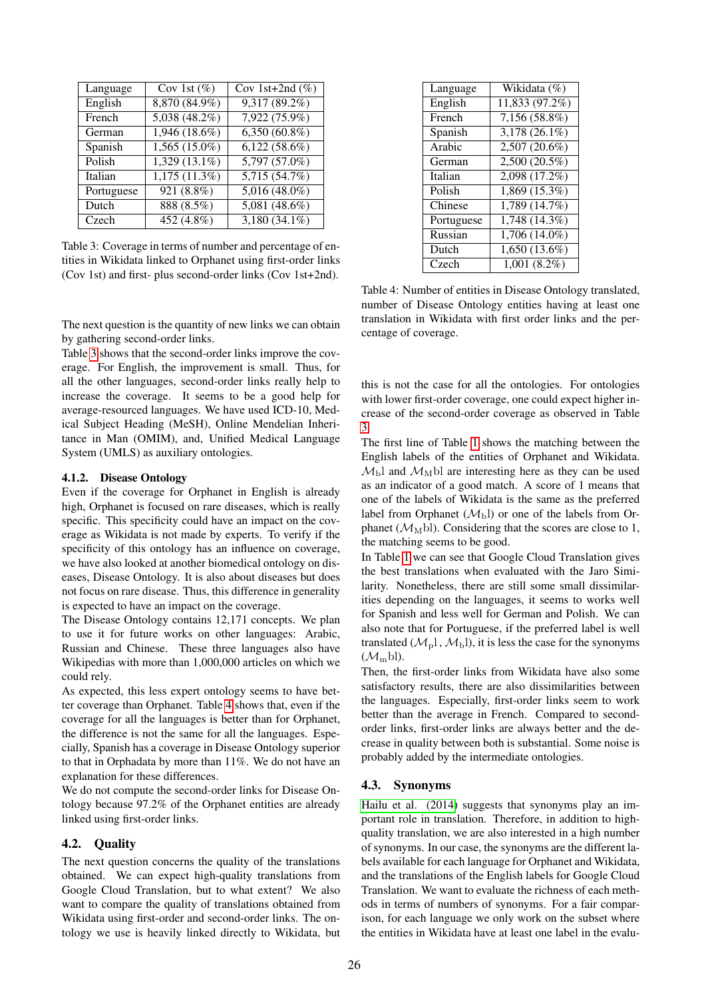| Language   | Cov 1st $(\%)$  | Cov 1st+2nd $(\%)$         |
|------------|-----------------|----------------------------|
| English    | 8,870 (84.9%)   | $9,317(89.2\%)$            |
| French     | $5,038(48.2\%)$ | 7,922 (75.9%)              |
| German     | $1,946(18.6\%)$ | $6,350(60.8\%)$            |
| Spanish    | $1,565(15.0\%)$ | $6,122(58.6\%)$            |
| Polish     | $1,329(13.1\%)$ | $5,797(57.0\%)$            |
| Italian    | 1,175(11.3%)    | $5,7\overline{15(54.7\%)}$ |
| Portuguese | 921 (8.8%)      | $5,016(48.0\%)$            |
| Dutch      | 888 (8.5%)      | $5,081(48.6\%)$            |
| Czech      | 452(4.8%)       | $3,180(34.1\%)$            |

<span id="page-5-0"></span>Table 3: Coverage in terms of number and percentage of entities in Wikidata linked to Orphanet using first-order links (Cov 1st) and first- plus second-order links (Cov 1st+2nd).

The next question is the quantity of new links we can obtain by gathering second-order links.

Table [3](#page-5-0) shows that the second-order links improve the coverage. For English, the improvement is small. Thus, for all the other languages, second-order links really help to increase the coverage. It seems to be a good help for average-resourced languages. We have used ICD-10, Medical Subject Heading (MeSH), Online Mendelian Inheritance in Man (OMIM), and, Unified Medical Language System (UMLS) as auxiliary ontologies.

#### 4.1.2. Disease Ontology

Even if the coverage for Orphanet in English is already high, Orphanet is focused on rare diseases, which is really specific. This specificity could have an impact on the coverage as Wikidata is not made by experts. To verify if the specificity of this ontology has an influence on coverage, we have also looked at another biomedical ontology on diseases, Disease Ontology. It is also about diseases but does not focus on rare disease. Thus, this difference in generality is expected to have an impact on the coverage.

The Disease Ontology contains 12,171 concepts. We plan to use it for future works on other languages: Arabic, Russian and Chinese. These three languages also have Wikipedias with more than 1,000,000 articles on which we could rely.

As expected, this less expert ontology seems to have better coverage than Orphanet. Table [4](#page-5-1) shows that, even if the coverage for all the languages is better than for Orphanet, the difference is not the same for all the languages. Especially, Spanish has a coverage in Disease Ontology superior to that in Orphadata by more than 11%. We do not have an explanation for these differences.

We do not compute the second-order links for Disease Ontology because 97.2% of the Orphanet entities are already linked using first-order links.

#### 4.2. Quality

The next question concerns the quality of the translations obtained. We can expect high-quality translations from Google Cloud Translation, but to what extent? We also want to compare the quality of translations obtained from Wikidata using first-order and second-order links. The ontology we use is heavily linked directly to Wikidata, but

| Language   | Wikidata (%)    |
|------------|-----------------|
| English    | 11,833 (97.2%)  |
| French     | $7,156(58.8\%)$ |
| Spanish    | 3,178 (26.1%)   |
| Arabic     | 2,507 (20.6%)   |
| German     | $2,500(20.5\%)$ |
| Italian    | 2,098 (17.2%)   |
| Polish     | 1,869 (15.3%)   |
| Chinese    | 1,789(14.7%)    |
| Portuguese | 1,748 (14.3%)   |
| Russian    | 1,706 (14.0%)   |
| Dutch      | $1,650(13.6\%)$ |
| Czech      | $1,001(8.2\%)$  |
|            |                 |

<span id="page-5-1"></span>Table 4: Number of entities in Disease Ontology translated, number of Disease Ontology entities having at least one translation in Wikidata with first order links and the percentage of coverage.

this is not the case for all the ontologies. For ontologies with lower first-order coverage, one could expect higher increase of the second-order coverage as observed in Table [3.](#page-5-0)

The first line of Table [1](#page-4-3) shows the matching between the English labels of the entities of Orphanet and Wikidata.  $M_{\rm b}$ l and  $M_{\rm M}$ bl are interesting here as they can be used as an indicator of a good match. A score of 1 means that one of the labels of Wikidata is the same as the preferred label from Orphanet  $(\mathcal{M}_b)$  or one of the labels from Orphanet ( $\mathcal{M}_{\text{M}}$ bl). Considering that the scores are close to 1, the matching seems to be good.

In Table [1](#page-4-3) we can see that Google Cloud Translation gives the best translations when evaluated with the Jaro Similarity. Nonetheless, there are still some small dissimilarities depending on the languages, it seems to works well for Spanish and less well for German and Polish. We can also note that for Portuguese, if the preferred label is well translated  $(\mathcal{M}_{\rm p}^{\rm l}, \mathcal{M}_{\rm b}^{\rm l})$ , it is less the case for the synonyms  $(\mathcal{M}_{\rm m}^{\rm bl})$ .

Then, the first-order links from Wikidata have also some satisfactory results, there are also dissimilarities between the languages. Especially, first-order links seem to work better than the average in French. Compared to secondorder links, first-order links are always better and the decrease in quality between both is substantial. Some noise is probably added by the intermediate ontologies.

#### 4.3. Synonyms

[Hailu et al. \(2014\)](#page-7-11) suggests that synonyms play an important role in translation. Therefore, in addition to highquality translation, we are also interested in a high number of synonyms. In our case, the synonyms are the different labels available for each language for Orphanet and Wikidata, and the translations of the English labels for Google Cloud Translation. We want to evaluate the richness of each methods in terms of numbers of synonyms. For a fair comparison, for each language we only work on the subset where the entities in Wikidata have at least one label in the evalu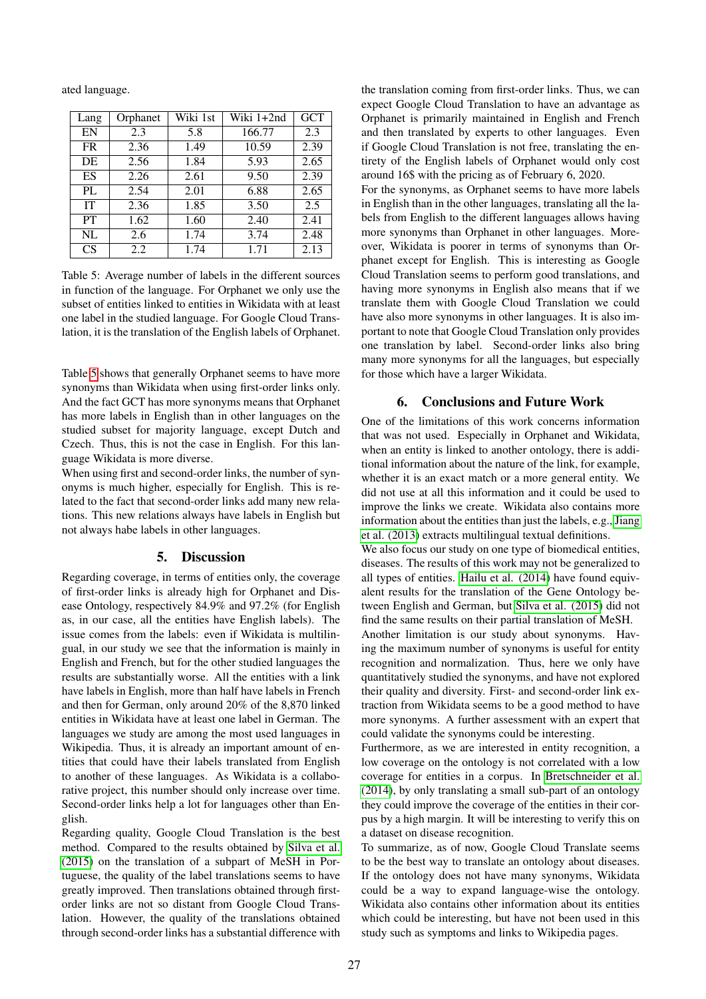ated language.

| Lang      | Orphanet | Wiki 1st | Wiki 1+2nd | <b>GCT</b> |
|-----------|----------|----------|------------|------------|
| EN        | 2.3      | 5.8      | 166.77     | 2.3        |
| <b>FR</b> | 2.36     | 1.49     | 10.59      | 2.39       |
| DE        | 2.56     | 1.84     | 5.93       | 2.65       |
| <b>ES</b> | 2.26     | 2.61     | 9.50       | 2.39       |
| PL        | 2.54     | 2.01     | 6.88       | 2.65       |
| <b>IT</b> | 2.36     | 1.85     | 3.50       | 2.5        |
| <b>PT</b> | 1.62     | 1.60     | 2.40       | 2.41       |
| NL        | 2.6      | 1.74     | 3.74       | 2.48       |
| <b>CS</b> | 2.2      | 1.74     | 1.71       | 2.13       |

<span id="page-6-0"></span>Table 5: Average number of labels in the different sources in function of the language. For Orphanet we only use the subset of entities linked to entities in Wikidata with at least one label in the studied language. For Google Cloud Translation, it is the translation of the English labels of Orphanet.

Table [5](#page-6-0) shows that generally Orphanet seems to have more synonyms than Wikidata when using first-order links only. And the fact GCT has more synonyms means that Orphanet has more labels in English than in other languages on the studied subset for majority language, except Dutch and Czech. Thus, this is not the case in English. For this language Wikidata is more diverse.

When using first and second-order links, the number of synonyms is much higher, especially for English. This is related to the fact that second-order links add many new relations. This new relations always have labels in English but not always habe labels in other languages.

# 5. Discussion

Regarding coverage, in terms of entities only, the coverage of first-order links is already high for Orphanet and Disease Ontology, respectively 84.9% and 97.2% (for English as, in our case, all the entities have English labels). The issue comes from the labels: even if Wikidata is multilingual, in our study we see that the information is mainly in English and French, but for the other studied languages the results are substantially worse. All the entities with a link have labels in English, more than half have labels in French and then for German, only around 20% of the 8,870 linked entities in Wikidata have at least one label in German. The languages we study are among the most used languages in Wikipedia. Thus, it is already an important amount of entities that could have their labels translated from English to another of these languages. As Wikidata is a collaborative project, this number should only increase over time. Second-order links help a lot for languages other than English.

Regarding quality, Google Cloud Translation is the best method. Compared to the results obtained by [Silva et al.](#page-7-12) [\(2015\)](#page-7-12) on the translation of a subpart of MeSH in Portuguese, the quality of the label translations seems to have greatly improved. Then translations obtained through firstorder links are not so distant from Google Cloud Translation. However, the quality of the translations obtained through second-order links has a substantial difference with the translation coming from first-order links. Thus, we can expect Google Cloud Translation to have an advantage as Orphanet is primarily maintained in English and French and then translated by experts to other languages. Even if Google Cloud Translation is not free, translating the entirety of the English labels of Orphanet would only cost around 16\$ with the pricing as of February 6, 2020.

For the synonyms, as Orphanet seems to have more labels in English than in the other languages, translating all the labels from English to the different languages allows having more synonyms than Orphanet in other languages. Moreover, Wikidata is poorer in terms of synonyms than Orphanet except for English. This is interesting as Google Cloud Translation seems to perform good translations, and having more synonyms in English also means that if we translate them with Google Cloud Translation we could have also more synonyms in other languages. It is also important to note that Google Cloud Translation only provides one translation by label. Second-order links also bring many more synonyms for all the languages, but especially for those which have a larger Wikidata.

## 6. Conclusions and Future Work

One of the limitations of this work concerns information that was not used. Especially in Orphanet and Wikidata, when an entity is linked to another ontology, there is additional information about the nature of the link, for example, whether it is an exact match or a more general entity. We did not use at all this information and it could be used to improve the links we create. Wikidata also contains more information about the entities than just the labels, e.g., [Jiang](#page-7-17) [et al. \(2013\)](#page-7-17) extracts multilingual textual definitions.

We also focus our study on one type of biomedical entities, diseases. The results of this work may not be generalized to all types of entities. [Hailu et al. \(2014\)](#page-7-11) have found equivalent results for the translation of the Gene Ontology between English and German, but [Silva et al. \(2015\)](#page-7-12) did not find the same results on their partial translation of MeSH.

Another limitation is our study about synonyms. Having the maximum number of synonyms is useful for entity recognition and normalization. Thus, here we only have quantitatively studied the synonyms, and have not explored their quality and diversity. First- and second-order link extraction from Wikidata seems to be a good method to have more synonyms. A further assessment with an expert that could validate the synonyms could be interesting.

Furthermore, as we are interested in entity recognition, a low coverage on the ontology is not correlated with a low coverage for entities in a corpus. In [Bretschneider et al.](#page-7-8) [\(2014\)](#page-7-8), by only translating a small sub-part of an ontology they could improve the coverage of the entities in their corpus by a high margin. It will be interesting to verify this on a dataset on disease recognition.

To summarize, as of now, Google Cloud Translate seems to be the best way to translate an ontology about diseases. If the ontology does not have many synonyms, Wikidata could be a way to expand language-wise the ontology. Wikidata also contains other information about its entities which could be interesting, but have not been used in this study such as symptoms and links to Wikipedia pages.